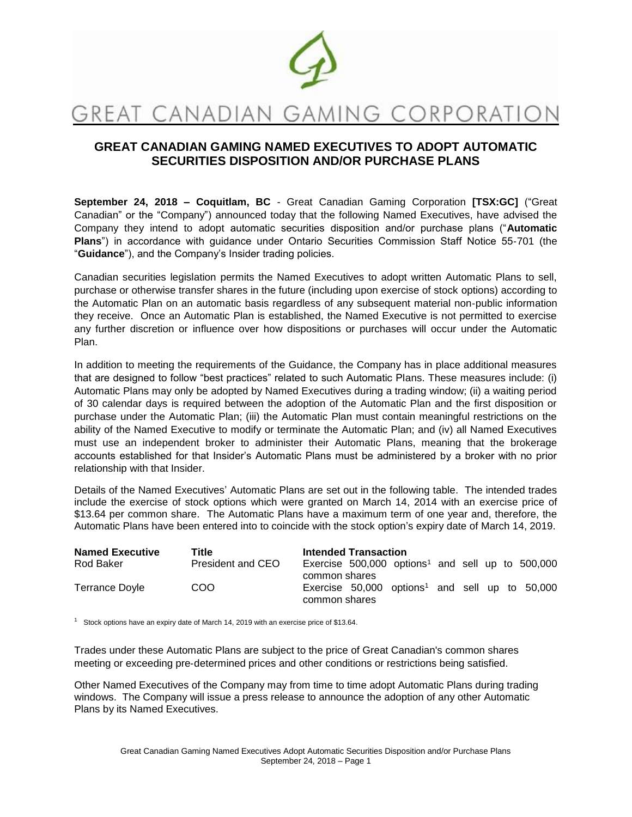

# GREAT CANADIAN GAMING CORPORATIO

# **GREAT CANADIAN GAMING NAMED EXECUTIVES TO ADOPT AUTOMATIC SECURITIES DISPOSITION AND/OR PURCHASE PLANS**

**September 24, 2018 – Coquitlam, BC** - Great Canadian Gaming Corporation **[TSX:GC]** ("Great Canadian" or the "Company") announced today that the following Named Executives, have advised the Company they intend to adopt automatic securities disposition and/or purchase plans ("**Automatic Plans**") in accordance with guidance under Ontario Securities Commission Staff Notice 55‐701 (the "**Guidance**"), and the Company's Insider trading policies.

Canadian securities legislation permits the Named Executives to adopt written Automatic Plans to sell, purchase or otherwise transfer shares in the future (including upon exercise of stock options) according to the Automatic Plan on an automatic basis regardless of any subsequent material non‐public information they receive. Once an Automatic Plan is established, the Named Executive is not permitted to exercise any further discretion or influence over how dispositions or purchases will occur under the Automatic Plan.

In addition to meeting the requirements of the Guidance, the Company has in place additional measures that are designed to follow "best practices" related to such Automatic Plans. These measures include: (i) Automatic Plans may only be adopted by Named Executives during a trading window; (ii) a waiting period of 30 calendar days is required between the adoption of the Automatic Plan and the first disposition or purchase under the Automatic Plan; (iii) the Automatic Plan must contain meaningful restrictions on the ability of the Named Executive to modify or terminate the Automatic Plan; and (iv) all Named Executives must use an independent broker to administer their Automatic Plans, meaning that the brokerage accounts established for that Insider's Automatic Plans must be administered by a broker with no prior relationship with that Insider.

Details of the Named Executives' Automatic Plans are set out in the following table. The intended trades include the exercise of stock options which were granted on March 14, 2014 with an exercise price of \$13.64 per common share. The Automatic Plans have a maximum term of one year and, therefore, the Automatic Plans have been entered into to coincide with the stock option's expiry date of March 14, 2019.

| <b>Named Executive</b> | Title             | <b>Intended Transaction</b>                                                     |  |  |  |  |  |  |
|------------------------|-------------------|---------------------------------------------------------------------------------|--|--|--|--|--|--|
| Rod Baker              | President and CEO | Exercise $500,000$ options <sup>1</sup> and sell up to $500,000$                |  |  |  |  |  |  |
|                        |                   | common shares                                                                   |  |  |  |  |  |  |
| Terrance Doyle         | COO               | Exercise $50,000$ options <sup>1</sup> and sell up to $50,000$<br>common shares |  |  |  |  |  |  |

<sup>1</sup> Stock options have an expiry date of March 14, 2019 with an exercise price of \$13.64.

Trades under these Automatic Plans are subject to the price of Great Canadian's common shares meeting or exceeding pre‐determined prices and other conditions or restrictions being satisfied.

Other Named Executives of the Company may from time to time adopt Automatic Plans during trading windows. The Company will issue a press release to announce the adoption of any other Automatic Plans by its Named Executives.